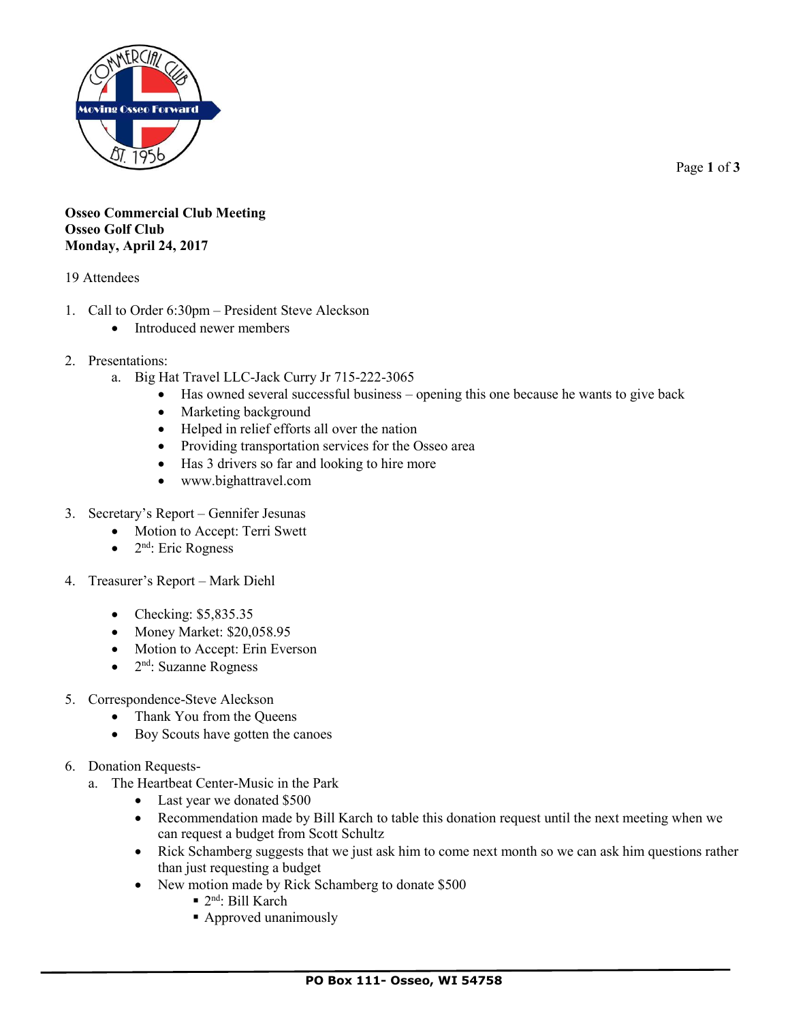

Page **1** of **3**

## **Osseo Commercial Club Meeting Osseo Golf Club Monday, April 24, 2017**

## 19 Attendees

- 1. Call to Order 6:30pm President Steve Aleckson
	- Introduced newer members
- 2. Presentations:
	- a. Big Hat Travel LLC-Jack Curry Jr 715-222-3065
		- Has owned several successful business opening this one because he wants to give back
		- Marketing background
		- Helped in relief efforts all over the nation
		- Providing transportation services for the Osseo area
		- Has 3 drivers so far and looking to hire more
		- www.bighattravel.com
- 3. Secretary's Report Gennifer Jesunas
	- Motion to Accept: Terri Swett
	- $\bullet$  2<sup>nd</sup>: Eric Rogness
- 4. Treasurer's Report Mark Diehl
	- Checking: \$5,835.35
	- Money Market: \$20,058.95
	- Motion to Accept: Erin Everson
	- 2<sup>nd</sup>: Suzanne Rogness
- 5. Correspondence-Steve Aleckson
	- Thank You from the Queens
	- Boy Scouts have gotten the canoes
- 6. Donation Requests
	- a. The Heartbeat Center-Music in the Park
		- Last year we donated \$500
		- Recommendation made by Bill Karch to table this donation request until the next meeting when we can request a budget from Scott Schultz
		- Rick Schamberg suggests that we just ask him to come next month so we can ask him questions rather than just requesting a budget
		- New motion made by Rick Schamberg to donate \$500
			- 2<sup>nd</sup>: Bill Karch
			- Approved unanimously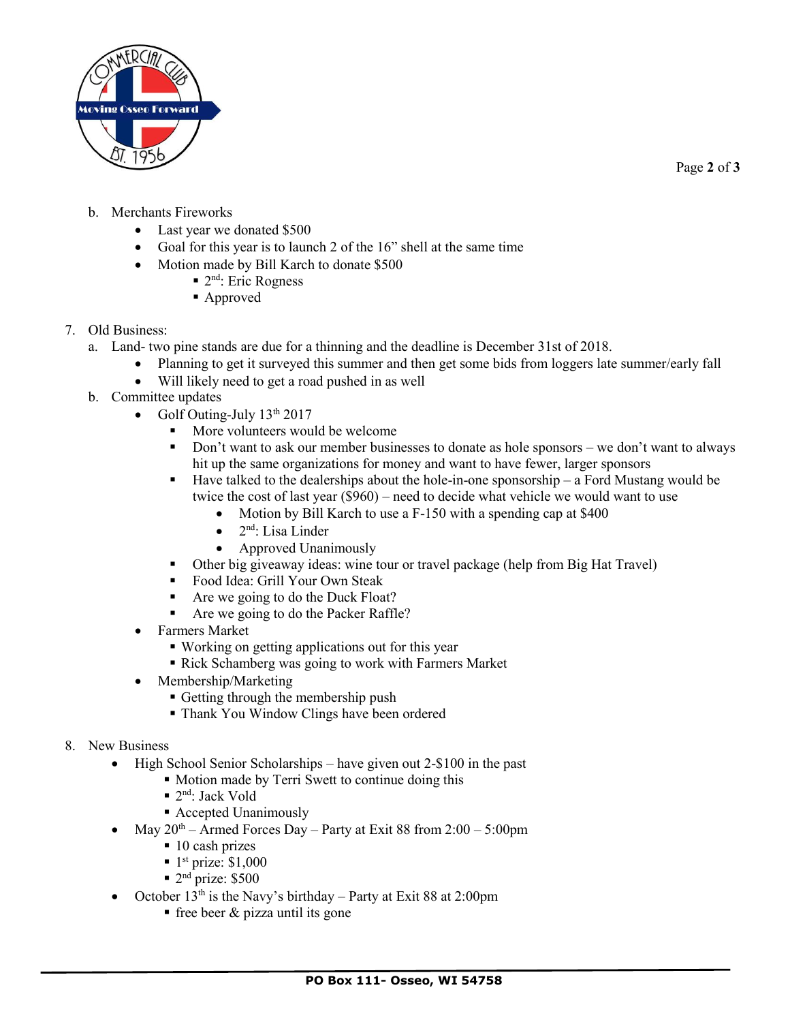

Page **2** of **3**

- b. Merchants Fireworks
	- Last year we donated \$500
	- Goal for this year is to launch 2 of the 16" shell at the same time
	- Motion made by Bill Karch to donate \$500
		- 2<sup>nd</sup>: Eric Rogness
		- Approved
- 7. Old Business:
	- a. Land- two pine stands are due for a thinning and the deadline is December 31st of 2018.
		- Planning to get it surveyed this summer and then get some bids from loggers late summer/early fall
		- Will likely need to get a road pushed in as well
	- b. Committee updates
		- Golf Outing-July  $13<sup>th</sup> 2017$ 
			- More volunteers would be welcome
			- Don't want to ask our member businesses to donate as hole sponsors we don't want to always hit up the same organizations for money and want to have fewer, larger sponsors
			- $\blacksquare$  Have talked to the dealerships about the hole-in-one sponsorship a Ford Mustang would be twice the cost of last year (\$960) – need to decide what vehicle we would want to use
				- Motion by Bill Karch to use a F-150 with a spending cap at \$400
				- $\bullet$  2<sup>nd</sup>: Lisa Linder
				- Approved Unanimously
			- Other big giveaway ideas: wine tour or travel package (help from Big Hat Travel)
			- Food Idea: Grill Your Own Steak
			- Are we going to do the Duck Float?
			- Are we going to do the Packer Raffle?
		- Farmers Market
			- Working on getting applications out for this year
			- Rick Schamberg was going to work with Farmers Market
		- Membership/Marketing
			- Getting through the membership push
			- **Thank You Window Clings have been ordered**
- 8. New Business
	- High School Senior Scholarships have given out 2-\$100 in the past
		- Motion made by Terri Swett to continue doing this
			- 2<sup>nd</sup>: Jack Vold
			- Accepted Unanimously
		- May  $20^{th}$  Armed Forces Day Party at Exit 88 from  $2:00 5:00$ pm
			- $\blacksquare$  10 cash prizes
			- $\blacksquare$  1<sup>st</sup> prize: \$1,000
			- $\blacksquare$  2<sup>nd</sup> prize: \$500
	- October  $13<sup>th</sup>$  is the Navy's birthday Party at Exit 88 at 2:00pm
		- $\blacksquare$  free beer & pizza until its gone